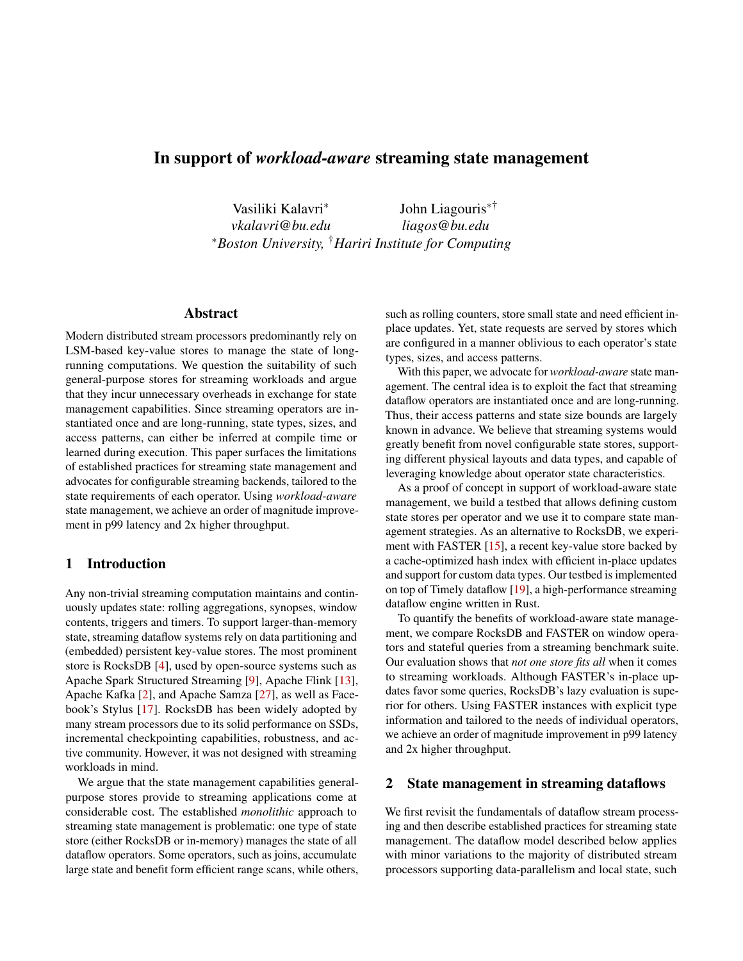# In support of *workload-aware* streaming state management

Vasiliki Kalavri<sup>∗</sup> *vkalavri@bu.edu* John Liagouris∗† *liagos@bu.edu* <sup>∗</sup>*Boston University,* †*Hariri Institute for Computing*

# Abstract

Modern distributed stream processors predominantly rely on LSM-based key-value stores to manage the state of longrunning computations. We question the suitability of such general-purpose stores for streaming workloads and argue that they incur unnecessary overheads in exchange for state management capabilities. Since streaming operators are instantiated once and are long-running, state types, sizes, and access patterns, can either be inferred at compile time or learned during execution. This paper surfaces the limitations of established practices for streaming state management and advocates for configurable streaming backends, tailored to the state requirements of each operator. Using *workload-aware* state management, we achieve an order of magnitude improvement in p99 latency and 2x higher throughput.

# 1 Introduction

Any non-trivial streaming computation maintains and continuously updates state: rolling aggregations, synopses, window contents, triggers and timers. To support larger-than-memory state, streaming dataflow systems rely on data partitioning and (embedded) persistent key-value stores. The most prominent store is RocksDB [\[4\]](#page-5-0), used by open-source systems such as Apache Spark Structured Streaming [\[9\]](#page-6-0), Apache Flink [\[13\]](#page-6-1), Apache Kafka [\[2\]](#page-5-1), and Apache Samza [\[27\]](#page-7-0), as well as Facebook's Stylus [\[17\]](#page-6-2). RocksDB has been widely adopted by many stream processors due to its solid performance on SSDs, incremental checkpointing capabilities, robustness, and active community. However, it was not designed with streaming workloads in mind.

We argue that the state management capabilities generalpurpose stores provide to streaming applications come at considerable cost. The established *monolithic* approach to streaming state management is problematic: one type of state store (either RocksDB or in-memory) manages the state of all dataflow operators. Some operators, such as joins, accumulate large state and benefit form efficient range scans, while others,

such as rolling counters, store small state and need efficient inplace updates. Yet, state requests are served by stores which are configured in a manner oblivious to each operator's state types, sizes, and access patterns.

With this paper, we advocate for *workload-aware* state management. The central idea is to exploit the fact that streaming dataflow operators are instantiated once and are long-running. Thus, their access patterns and state size bounds are largely known in advance. We believe that streaming systems would greatly benefit from novel configurable state stores, supporting different physical layouts and data types, and capable of leveraging knowledge about operator state characteristics.

As a proof of concept in support of workload-aware state management, we build a testbed that allows defining custom state stores per operator and we use it to compare state management strategies. As an alternative to RocksDB, we experi-ment with FASTER [\[15\]](#page-6-3), a recent key-value store backed by a cache-optimized hash index with efficient in-place updates and support for custom data types. Our testbed is implemented on top of Timely dataflow [\[19\]](#page-6-4), a high-performance streaming dataflow engine written in Rust.

To quantify the benefits of workload-aware state management, we compare RocksDB and FASTER on window operators and stateful queries from a streaming benchmark suite. Our evaluation shows that *not one store fits all* when it comes to streaming workloads. Although FASTER's in-place updates favor some queries, RocksDB's lazy evaluation is superior for others. Using FASTER instances with explicit type information and tailored to the needs of individual operators, we achieve an order of magnitude improvement in p99 latency and 2x higher throughput.

#### 2 State management in streaming dataflows

We first revisit the fundamentals of dataflow stream processing and then describe established practices for streaming state management. The dataflow model described below applies with minor variations to the majority of distributed stream processors supporting data-parallelism and local state, such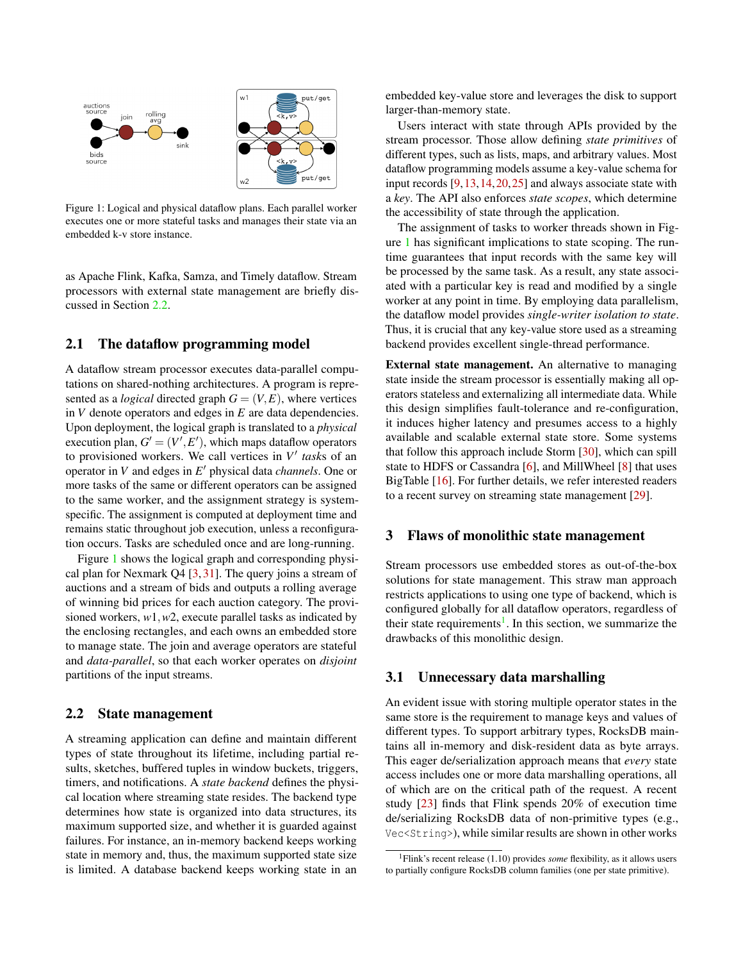<span id="page-1-1"></span>

Figure 1: Logical and physical dataflow plans. Each parallel worker executes one or more stateful tasks and manages their state via an embedded k-v store instance.

as Apache Flink, Kafka, Samza, and Timely dataflow. Stream processors with external state management are briefly discussed in Section [2.2.](#page-1-0)

# 2.1 The dataflow programming model

A dataflow stream processor executes data-parallel computations on shared-nothing architectures. A program is represented as a *logical* directed graph  $G = (V, E)$ , where vertices in *V* denote operators and edges in *E* are data dependencies. Upon deployment, the logical graph is translated to a *physical* execution plan,  $G' = (V', E')$ , which maps dataflow operators to provisioned workers. We call vertices in  $V'$  tasks of an operator in *V* and edges in *E'* physical data *channels*. One or more tasks of the same or different operators can be assigned to the same worker, and the assignment strategy is systemspecific. The assignment is computed at deployment time and remains static throughout job execution, unless a reconfiguration occurs. Tasks are scheduled once and are long-running.

Figure [1](#page-1-1) shows the logical graph and corresponding physical plan for Nexmark Q4 [\[3,](#page-5-2) [31\]](#page-7-1). The query joins a stream of auctions and a stream of bids and outputs a rolling average of winning bid prices for each auction category. The provisioned workers, *w*1,*w*2, execute parallel tasks as indicated by the enclosing rectangles, and each owns an embedded store to manage state. The join and average operators are stateful and *data-parallel*, so that each worker operates on *disjoint* partitions of the input streams.

#### <span id="page-1-0"></span>2.2 State management

A streaming application can define and maintain different types of state throughout its lifetime, including partial results, sketches, buffered tuples in window buckets, triggers, timers, and notifications. A *state backend* defines the physical location where streaming state resides. The backend type determines how state is organized into data structures, its maximum supported size, and whether it is guarded against failures. For instance, an in-memory backend keeps working state in memory and, thus, the maximum supported state size is limited. A database backend keeps working state in an

embedded key-value store and leverages the disk to support larger-than-memory state.

Users interact with state through APIs provided by the stream processor. Those allow defining *state primitives* of different types, such as lists, maps, and arbitrary values. Most dataflow programming models assume a key-value schema for input records [\[9,](#page-6-0)[13,](#page-6-1)[14,](#page-6-5)[20,](#page-6-6)[25\]](#page-6-7) and always associate state with a *key*. The API also enforces *state scopes*, which determine the accessibility of state through the application.

The assignment of tasks to worker threads shown in Figure [1](#page-1-1) has significant implications to state scoping. The runtime guarantees that input records with the same key will be processed by the same task. As a result, any state associated with a particular key is read and modified by a single worker at any point in time. By employing data parallelism, the dataflow model provides *single-writer isolation to state*. Thus, it is crucial that any key-value store used as a streaming backend provides excellent single-thread performance.

External state management. An alternative to managing state inside the stream processor is essentially making all operators stateless and externalizing all intermediate data. While this design simplifies fault-tolerance and re-configuration, it induces higher latency and presumes access to a highly available and scalable external state store. Some systems that follow this approach include Storm [\[30\]](#page-7-2), which can spill state to HDFS or Cassandra [\[6\]](#page-5-3), and MillWheel [\[8\]](#page-6-8) that uses BigTable [\[16\]](#page-6-9). For further details, we refer interested readers to a recent survey on streaming state management [\[29\]](#page-7-3).

# 3 Flaws of monolithic state management

Stream processors use embedded stores as out-of-the-box solutions for state management. This straw man approach restricts applications to using one type of backend, which is configured globally for all dataflow operators, regardless of their state requirements<sup>[1](#page-1-2)</sup>. In this section, we summarize the drawbacks of this monolithic design.

# 3.1 Unnecessary data marshalling

An evident issue with storing multiple operator states in the same store is the requirement to manage keys and values of different types. To support arbitrary types, RocksDB maintains all in-memory and disk-resident data as byte arrays. This eager de/serialization approach means that *every* state access includes one or more data marshalling operations, all of which are on the critical path of the request. A recent study [\[23\]](#page-6-10) finds that Flink spends 20% of execution time de/serializing RocksDB data of non-primitive types (e.g., Vec<String>), while similar results are shown in other works

<span id="page-1-2"></span><sup>1</sup>Flink's recent release (1.10) provides *some* flexibility, as it allows users to partially configure RocksDB column families (one per state primitive).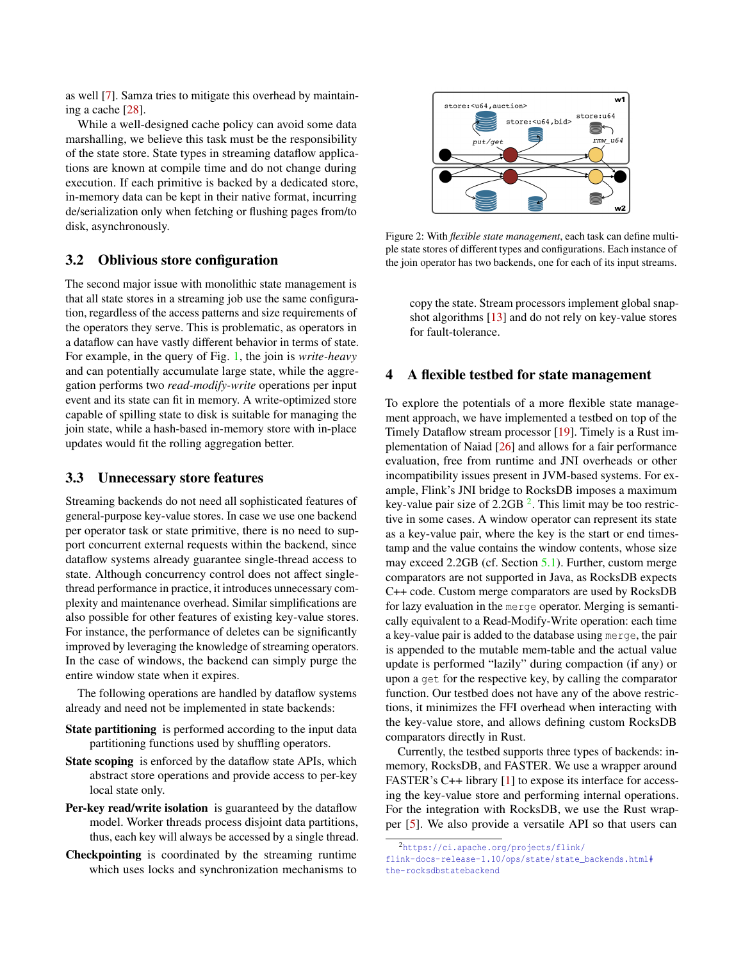as well [\[7\]](#page-5-4). Samza tries to mitigate this overhead by maintaining a cache [\[28\]](#page-7-4).

While a well-designed cache policy can avoid some data marshalling, we believe this task must be the responsibility of the state store. State types in streaming dataflow applications are known at compile time and do not change during execution. If each primitive is backed by a dedicated store, in-memory data can be kept in their native format, incurring de/serialization only when fetching or flushing pages from/to disk, asynchronously.

# 3.2 Oblivious store configuration

The second major issue with monolithic state management is that all state stores in a streaming job use the same configuration, regardless of the access patterns and size requirements of the operators they serve. This is problematic, as operators in a dataflow can have vastly different behavior in terms of state. For example, in the query of Fig. [1,](#page-1-1) the join is *write-heavy* and can potentially accumulate large state, while the aggregation performs two *read-modify-write* operations per input event and its state can fit in memory. A write-optimized store capable of spilling state to disk is suitable for managing the join state, while a hash-based in-memory store with in-place updates would fit the rolling aggregation better.

#### <span id="page-2-2"></span>3.3 Unnecessary store features

Streaming backends do not need all sophisticated features of general-purpose key-value stores. In case we use one backend per operator task or state primitive, there is no need to support concurrent external requests within the backend, since dataflow systems already guarantee single-thread access to state. Although concurrency control does not affect singlethread performance in practice, it introduces unnecessary complexity and maintenance overhead. Similar simplifications are also possible for other features of existing key-value stores. For instance, the performance of deletes can be significantly improved by leveraging the knowledge of streaming operators. In the case of windows, the backend can simply purge the entire window state when it expires.

The following operations are handled by dataflow systems already and need not be implemented in state backends:

- State partitioning is performed according to the input data partitioning functions used by shuffling operators.
- State scoping is enforced by the dataflow state APIs, which abstract store operations and provide access to per-key local state only.
- Per-key read/write isolation is guaranteed by the dataflow model. Worker threads process disjoint data partitions, thus, each key will always be accessed by a single thread.
- Checkpointing is coordinated by the streaming runtime which uses locks and synchronization mechanisms to

<span id="page-2-1"></span>

Figure 2: With *flexible state management*, each task can define multiple state stores of different types and configurations. Each instance of the join operator has two backends, one for each of its input streams.

copy the state. Stream processors implement global snapshot algorithms [\[13\]](#page-6-1) and do not rely on key-value stores for fault-tolerance.

# <span id="page-2-3"></span>4 A flexible testbed for state management

To explore the potentials of a more flexible state management approach, we have implemented a testbed on top of the Timely Dataflow stream processor [\[19\]](#page-6-4). Timely is a Rust implementation of Naiad [\[26\]](#page-6-11) and allows for a fair performance evaluation, free from runtime and JNI overheads or other incompatibility issues present in JVM-based systems. For example, Flink's JNI bridge to RocksDB imposes a maximum key-value pair size of  $2.2GB<sup>2</sup>$  $2.2GB<sup>2</sup>$ . This limit may be too restrictive in some cases. A window operator can represent its state as a key-value pair, where the key is the start or end timestamp and the value contains the window contents, whose size may exceed 2.2GB (cf. Section [5.1\)](#page-3-0). Further, custom merge comparators are not supported in Java, as RocksDB expects C++ code. Custom merge comparators are used by RocksDB for lazy evaluation in the merge operator. Merging is semantically equivalent to a Read-Modify-Write operation: each time a key-value pair is added to the database using merge, the pair is appended to the mutable mem-table and the actual value update is performed "lazily" during compaction (if any) or upon a get for the respective key, by calling the comparator function. Our testbed does not have any of the above restrictions, it minimizes the FFI overhead when interacting with the key-value store, and allows defining custom RocksDB comparators directly in Rust.

Currently, the testbed supports three types of backends: inmemory, RocksDB, and FASTER. We use a wrapper around FASTER's C++ library [\[1\]](#page-5-5) to expose its interface for accessing the key-value store and performing internal operations. For the integration with RocksDB, we use the Rust wrapper [\[5\]](#page-5-6). We also provide a versatile API so that users can

<span id="page-2-0"></span><sup>2</sup>[https://ci.apache.org/projects/flink/](https://ci.apache.org/projects/flink/flink-docs-release-1.10/ops/state/state_backends.html#the-rocksdbstatebackend)

[flink-docs-release-1.10/ops/state/state\\_backends.html#](https://ci.apache.org/projects/flink/flink-docs-release-1.10/ops/state/state_backends.html#the-rocksdbstatebackend) [the-rocksdbstatebackend](https://ci.apache.org/projects/flink/flink-docs-release-1.10/ops/state/state_backends.html#the-rocksdbstatebackend)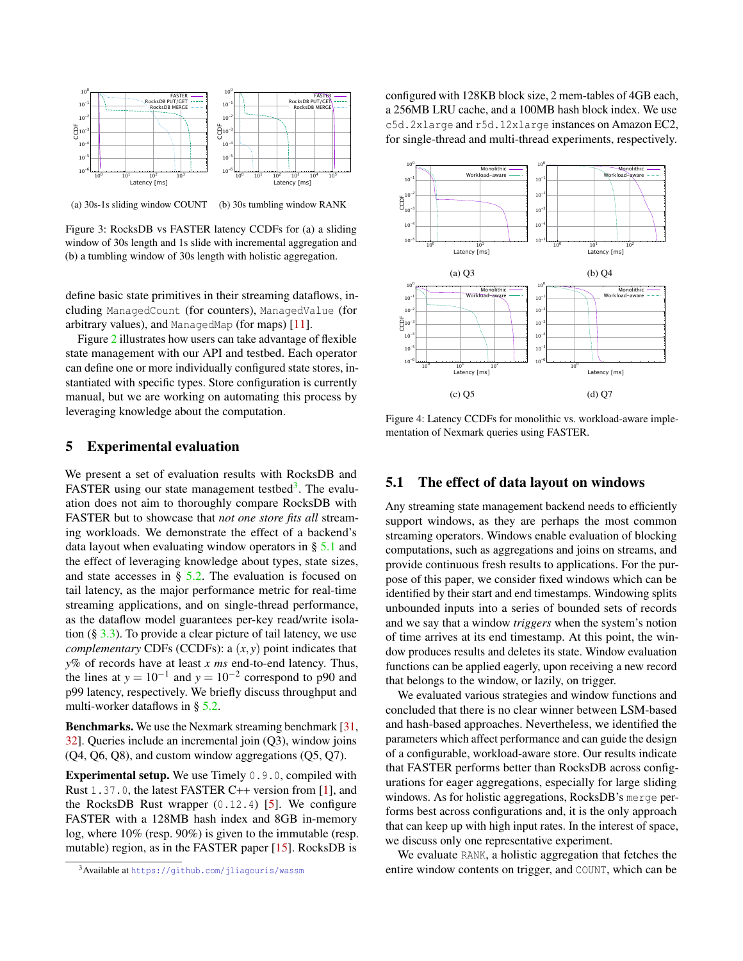<span id="page-3-2"></span>

(a) 30s-1s sliding window COUNT (b) 30s tumbling window RANK

Figure 3: RocksDB vs FASTER latency CCDFs for (a) a sliding window of 30s length and 1s slide with incremental aggregation and (b) a tumbling window of 30s length with holistic aggregation.

define basic state primitives in their streaming dataflows, including ManagedCount (for counters), ManagedValue (for arbitrary values), and ManagedMap (for maps) [\[11\]](#page-6-12).

Figure [2](#page-2-1) illustrates how users can take advantage of flexible state management with our API and testbed. Each operator can define one or more individually configured state stores, instantiated with specific types. Store configuration is currently manual, but we are working on automating this process by leveraging knowledge about the computation.

# <span id="page-3-4"></span>5 Experimental evaluation

We present a set of evaluation results with RocksDB and FASTER using our state management testbed<sup>[3](#page-3-1)</sup>. The evaluation does not aim to thoroughly compare RocksDB with FASTER but to showcase that *not one store fits all* streaming workloads. We demonstrate the effect of a backend's data layout when evaluating window operators in § [5.1](#page-3-0) and the effect of leveraging knowledge about types, state sizes, and state accesses in  $\S$  [5.2.](#page-4-0) The evaluation is focused on tail latency, as the major performance metric for real-time streaming applications, and on single-thread performance, as the dataflow model guarantees per-key read/write isolation  $(\S$  [3.3\)](#page-2-2). To provide a clear picture of tail latency, we use *complementary* CDFs (CCDFs): a (*x*, *y*) point indicates that *y*% of records have at least *x ms* end-to-end latency. Thus, the lines at  $y = 10^{-1}$  and  $y = 10^{-2}$  correspond to p90 and p99 latency, respectively. We briefly discuss throughput and multi-worker dataflows in § [5.2.](#page-4-0)

Benchmarks. We use the Nexmark streaming benchmark [\[31,](#page-7-1) [32\]](#page-7-5). Queries include an incremental join (Q3), window joins (Q4, Q6, Q8), and custom window aggregations (Q5, Q7).

**Experimental setup.** We use Timely  $0.9.0$ , compiled with Rust 1.37.0, the latest FASTER C++ version from [\[1\]](#page-5-5), and the RocksDB Rust wrapper  $(0.12.4)$  [\[5\]](#page-5-6). We configure FASTER with a 128MB hash index and 8GB in-memory log, where 10% (resp. 90%) is given to the immutable (resp. mutable) region, as in the FASTER paper [\[15\]](#page-6-3). RocksDB is

<span id="page-3-1"></span><sup>3</sup>Available at <https://github.com/jliagouris/wassm>

configured with 128KB block size, 2 mem-tables of 4GB each, a 256MB LRU cache, and a 100MB hash block index. We use c5d.2xlarge and r5d.12xlarge instances on Amazon EC2, for single-thread and multi-thread experiments, respectively.

<span id="page-3-3"></span>

Figure 4: Latency CCDFs for monolithic vs. workload-aware implementation of Nexmark queries using FASTER.

## <span id="page-3-0"></span>5.1 The effect of data layout on windows

Any streaming state management backend needs to efficiently support windows, as they are perhaps the most common streaming operators. Windows enable evaluation of blocking computations, such as aggregations and joins on streams, and provide continuous fresh results to applications. For the purpose of this paper, we consider fixed windows which can be identified by their start and end timestamps. Windowing splits unbounded inputs into a series of bounded sets of records and we say that a window *triggers* when the system's notion of time arrives at its end timestamp. At this point, the window produces results and deletes its state. Window evaluation functions can be applied eagerly, upon receiving a new record that belongs to the window, or lazily, on trigger.

We evaluated various strategies and window functions and concluded that there is no clear winner between LSM-based and hash-based approaches. Nevertheless, we identified the parameters which affect performance and can guide the design of a configurable, workload-aware store. Our results indicate that FASTER performs better than RocksDB across configurations for eager aggregations, especially for large sliding windows. As for holistic aggregations, RocksDB's merge performs best across configurations and, it is the only approach that can keep up with high input rates. In the interest of space, we discuss only one representative experiment.

We evaluate RANK, a holistic aggregation that fetches the entire window contents on trigger, and COUNT, which can be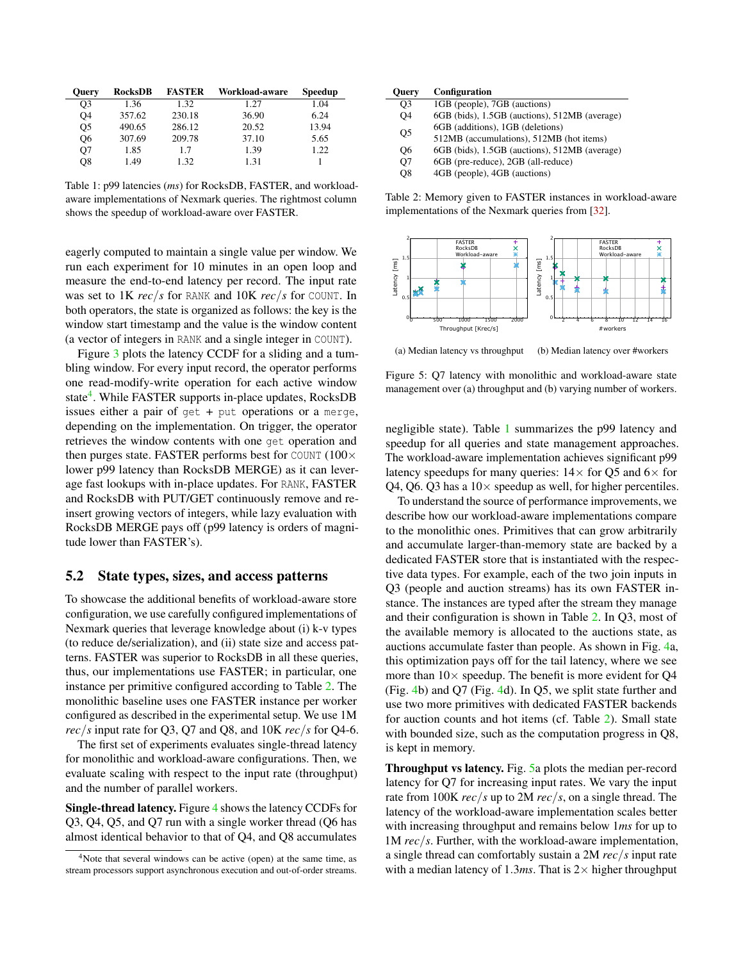<span id="page-4-3"></span>

| <b>Ouery</b>   | RocksDB | <b>FASTER</b> | Workload-aware | Speedup |
|----------------|---------|---------------|----------------|---------|
| O3             | 1.36    | 1.32          | 1.27           | 1.04    |
| O4             | 357.62  | 230.18        | 36.90          | 6.24    |
| O <sub>5</sub> | 490.65  | 286.12        | 20.52          | 13.94   |
| Q6             | 307.69  | 209.78        | 37.10          | 5.65    |
| Q7             | 1.85    | 1.7           | 1.39           | 1.22    |
| O8             | 1.49    | 1.32          | 1.31           |         |

Table 1: p99 latencies (*ms*) for RocksDB, FASTER, and workloadaware implementations of Nexmark queries. The rightmost column shows the speedup of workload-aware over FASTER.

eagerly computed to maintain a single value per window. We run each experiment for 10 minutes in an open loop and measure the end-to-end latency per record. The input rate was set to 1K *rec*/*s* for RANK and 10K *rec*/*s* for COUNT. In both operators, the state is organized as follows: the key is the window start timestamp and the value is the window content (a vector of integers in RANK and a single integer in COUNT).

Figure [3](#page-3-2) plots the latency CCDF for a sliding and a tumbling window. For every input record, the operator performs one read-modify-write operation for each active window state<sup>[4](#page-4-1)</sup>. While FASTER supports in-place updates, RocksDB issues either a pair of get + put operations or a merge, depending on the implementation. On trigger, the operator retrieves the window contents with one get operation and then purges state. FASTER performs best for COUNT  $(100 \times$ lower p99 latency than RocksDB MERGE) as it can leverage fast lookups with in-place updates. For RANK, FASTER and RocksDB with PUT/GET continuously remove and reinsert growing vectors of integers, while lazy evaluation with RocksDB MERGE pays off (p99 latency is orders of magnitude lower than FASTER's).

# <span id="page-4-0"></span>5.2 State types, sizes, and access patterns

To showcase the additional benefits of workload-aware store configuration, we use carefully configured implementations of Nexmark queries that leverage knowledge about (i) k-v types (to reduce de/serialization), and (ii) state size and access patterns. FASTER was superior to RocksDB in all these queries, thus, our implementations use FASTER; in particular, one instance per primitive configured according to Table [2.](#page-4-2) The monolithic baseline uses one FASTER instance per worker configured as described in the experimental setup. We use 1M *rec*/*s* input rate for Q3, Q7 and Q8, and  $10K$  *rec*/*s* for Q4-6.

The first set of experiments evaluates single-thread latency for monolithic and workload-aware configurations. Then, we evaluate scaling with respect to the input rate (throughput) and the number of parallel workers.

Single-thread latency. Figure [4](#page-3-3) shows the latency CCDFs for Q3, Q4, Q5, and Q7 run with a single worker thread (Q6 has almost identical behavior to that of Q4, and Q8 accumulates

<span id="page-4-2"></span>

| Query          | Configuration                                 |  |  |
|----------------|-----------------------------------------------|--|--|
| O <sub>3</sub> | 1GB (people), 7GB (auctions)                  |  |  |
| <b>O4</b>      | 6GB (bids), 1.5GB (auctions), 512MB (average) |  |  |
| Q <sub>5</sub> | 6GB (additions), 1GB (deletions)              |  |  |
|                | 512MB (accumulations), 512MB (hot items)      |  |  |
| О6             | 6GB (bids), 1.5GB (auctions), 512MB (average) |  |  |
| O7             | 6GB (pre-reduce), 2GB (all-reduce)            |  |  |
| O8             | 4GB (people), 4GB (auctions)                  |  |  |

Table 2: Memory given to FASTER instances in workload-aware implementations of the Nexmark queries from [\[32\]](#page-7-5).

<span id="page-4-4"></span>

(a) Median latency vs throughput (b) Median latency over #workers

Figure 5: Q7 latency with monolithic and workload-aware state management over (a) throughput and (b) varying number of workers.

negligible state). Table [1](#page-4-3) summarizes the p99 latency and speedup for all queries and state management approaches. The workload-aware implementation achieves significant p99 latency speedups for many queries:  $14 \times$  for Q5 and  $6 \times$  for Q4, Q6. Q3 has a  $10\times$  speedup as well, for higher percentiles.

To understand the source of performance improvements, we describe how our workload-aware implementations compare to the monolithic ones. Primitives that can grow arbitrarily and accumulate larger-than-memory state are backed by a dedicated FASTER store that is instantiated with the respective data types. For example, each of the two join inputs in Q3 (people and auction streams) has its own FASTER instance. The instances are typed after the stream they manage and their configuration is shown in Table [2.](#page-4-2) In Q3, most of the available memory is allocated to the auctions state, as auctions accumulate faster than people. As shown in Fig. [4a](#page-3-3), this optimization pays off for the tail latency, where we see more than  $10\times$  speedup. The benefit is more evident for Q4 (Fig. [4b](#page-3-3)) and Q7 (Fig. [4d](#page-3-3)). In Q5, we split state further and use two more primitives with dedicated FASTER backends for auction counts and hot items (cf. Table [2\)](#page-4-2). Small state with bounded size, such as the computation progress in Q8, is kept in memory.

Throughput vs latency. Fig. [5a](#page-4-4) plots the median per-record latency for Q7 for increasing input rates. We vary the input rate from 100K *rec*/*s* up to 2M *rec*/*s*, on a single thread. The latency of the workload-aware implementation scales better with increasing throughput and remains below 1*ms* for up to 1M *rec*/*s*. Further, with the workload-aware implementation, a single thread can comfortably sustain a 2M *rec*/*s* input rate with a median latency of 1.3*ms*. That is  $2 \times$  higher throughput

<span id="page-4-1"></span><sup>&</sup>lt;sup>4</sup>Note that several windows can be active (open) at the same time, as stream processors support asynchronous execution and out-of-order streams.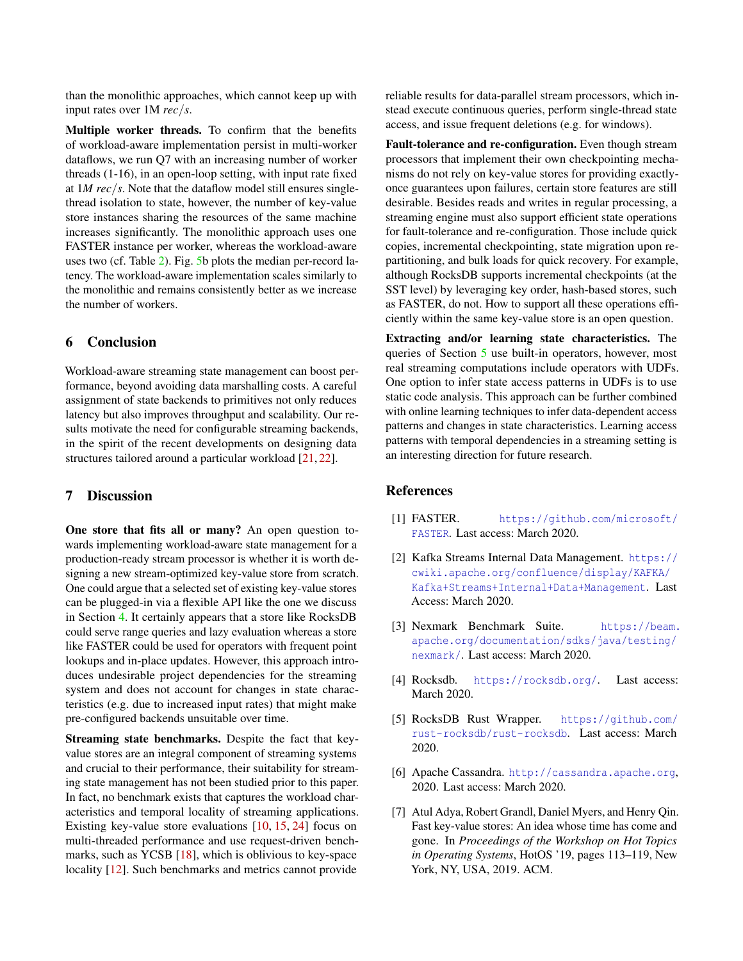than the monolithic approaches, which cannot keep up with input rates over 1M *rec*/*s*.

Multiple worker threads. To confirm that the benefits of workload-aware implementation persist in multi-worker dataflows, we run Q7 with an increasing number of worker threads (1-16), in an open-loop setting, with input rate fixed at 1*M rec*/*s*. Note that the dataflow model still ensures singlethread isolation to state, however, the number of key-value store instances sharing the resources of the same machine increases significantly. The monolithic approach uses one FASTER instance per worker, whereas the workload-aware uses two (cf. Table [2\)](#page-4-2). Fig. [5b](#page-4-4) plots the median per-record latency. The workload-aware implementation scales similarly to the monolithic and remains consistently better as we increase the number of workers.

# 6 Conclusion

Workload-aware streaming state management can boost performance, beyond avoiding data marshalling costs. A careful assignment of state backends to primitives not only reduces latency but also improves throughput and scalability. Our results motivate the need for configurable streaming backends, in the spirit of the recent developments on designing data structures tailored around a particular workload [\[21,](#page-6-13) [22\]](#page-6-14).

# 7 Discussion

One store that fits all or many? An open question towards implementing workload-aware state management for a production-ready stream processor is whether it is worth designing a new stream-optimized key-value store from scratch. One could argue that a selected set of existing key-value stores can be plugged-in via a flexible API like the one we discuss in Section [4.](#page-2-3) It certainly appears that a store like RocksDB could serve range queries and lazy evaluation whereas a store like FASTER could be used for operators with frequent point lookups and in-place updates. However, this approach introduces undesirable project dependencies for the streaming system and does not account for changes in state characteristics (e.g. due to increased input rates) that might make pre-configured backends unsuitable over time.

Streaming state benchmarks. Despite the fact that keyvalue stores are an integral component of streaming systems and crucial to their performance, their suitability for streaming state management has not been studied prior to this paper. In fact, no benchmark exists that captures the workload characteristics and temporal locality of streaming applications. Existing key-value store evaluations [\[10,](#page-6-15) [15,](#page-6-3) [24\]](#page-6-16) focus on multi-threaded performance and use request-driven benchmarks, such as YCSB [\[18\]](#page-6-17), which is oblivious to key-space locality [\[12\]](#page-6-18). Such benchmarks and metrics cannot provide

reliable results for data-parallel stream processors, which instead execute continuous queries, perform single-thread state access, and issue frequent deletions (e.g. for windows).

Fault-tolerance and re-configuration. Even though stream processors that implement their own checkpointing mechanisms do not rely on key-value stores for providing exactlyonce guarantees upon failures, certain store features are still desirable. Besides reads and writes in regular processing, a streaming engine must also support efficient state operations for fault-tolerance and re-configuration. Those include quick copies, incremental checkpointing, state migration upon repartitioning, and bulk loads for quick recovery. For example, although RocksDB supports incremental checkpoints (at the SST level) by leveraging key order, hash-based stores, such as FASTER, do not. How to support all these operations efficiently within the same key-value store is an open question.

Extracting and/or learning state characteristics. The queries of Section [5](#page-3-4) use built-in operators, however, most real streaming computations include operators with UDFs. One option to infer state access patterns in UDFs is to use static code analysis. This approach can be further combined with online learning techniques to infer data-dependent access patterns and changes in state characteristics. Learning access patterns with temporal dependencies in a streaming setting is an interesting direction for future research.

# **References**

- <span id="page-5-5"></span>[1] FASTER. [https://github.com/microsoft/](https://github.com/microsoft/FASTER) [FASTER](https://github.com/microsoft/FASTER). Last access: March 2020.
- <span id="page-5-1"></span>[2] Kafka Streams Internal Data Management. [https://](https://cwiki.apache.org/confluence/display/KAFKA/Kafka+Streams+Internal+Data+Management) [cwiki.apache.org/confluence/display/KAFKA/](https://cwiki.apache.org/confluence/display/KAFKA/Kafka+Streams+Internal+Data+Management) [Kafka+Streams+Internal+Data+Management](https://cwiki.apache.org/confluence/display/KAFKA/Kafka+Streams+Internal+Data+Management). Last Access: March 2020.
- <span id="page-5-2"></span>[3] Nexmark Benchmark Suite. [https://beam.](https://beam.apache.org/documentation/sdks/java/testing/nexmark/) [apache.org/documentation/sdks/java/testing/](https://beam.apache.org/documentation/sdks/java/testing/nexmark/) [nexmark/](https://beam.apache.org/documentation/sdks/java/testing/nexmark/). Last access: March 2020.
- <span id="page-5-0"></span>[4] Rocksdb. <https://rocksdb.org/>. Last access: March 2020.
- <span id="page-5-6"></span>[5] RocksDB Rust Wrapper. [https://github.com/](https://github.com/rust-rocksdb/rust-rocksdb) [rust-rocksdb/rust-rocksdb](https://github.com/rust-rocksdb/rust-rocksdb). Last access: March 2020.
- <span id="page-5-3"></span>[6] Apache Cassandra. <http://cassandra.apache.org>, 2020. Last access: March 2020.
- <span id="page-5-4"></span>[7] Atul Adya, Robert Grandl, Daniel Myers, and Henry Qin. Fast key-value stores: An idea whose time has come and gone. In *Proceedings of the Workshop on Hot Topics in Operating Systems*, HotOS '19, pages 113–119, New York, NY, USA, 2019. ACM.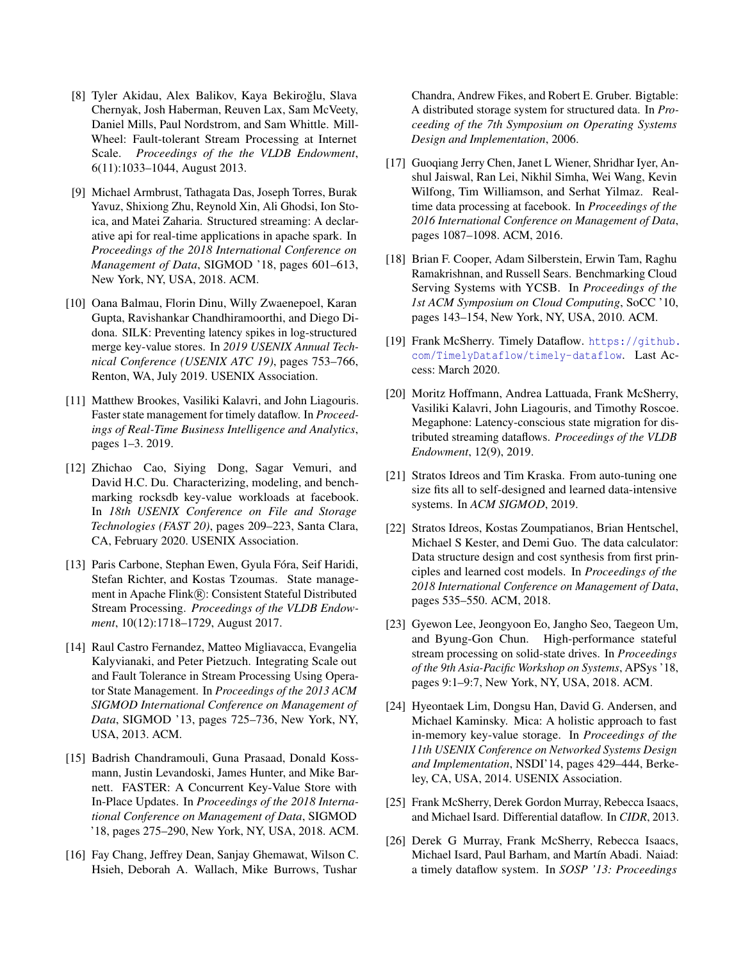- <span id="page-6-8"></span>[8] Tyler Akidau, Alex Balikov, Kaya Bekiroğlu, Slava Chernyak, Josh Haberman, Reuven Lax, Sam McVeety, Daniel Mills, Paul Nordstrom, and Sam Whittle. Mill-Wheel: Fault-tolerant Stream Processing at Internet Scale. *Proceedings of the the VLDB Endowment*, 6(11):1033–1044, August 2013.
- <span id="page-6-0"></span>[9] Michael Armbrust, Tathagata Das, Joseph Torres, Burak Yavuz, Shixiong Zhu, Reynold Xin, Ali Ghodsi, Ion Stoica, and Matei Zaharia. Structured streaming: A declarative api for real-time applications in apache spark. In *Proceedings of the 2018 International Conference on Management of Data*, SIGMOD '18, pages 601–613, New York, NY, USA, 2018. ACM.
- <span id="page-6-15"></span>[10] Oana Balmau, Florin Dinu, Willy Zwaenepoel, Karan Gupta, Ravishankar Chandhiramoorthi, and Diego Didona. SILK: Preventing latency spikes in log-structured merge key-value stores. In *2019 USENIX Annual Technical Conference (USENIX ATC 19)*, pages 753–766, Renton, WA, July 2019. USENIX Association.
- <span id="page-6-12"></span>[11] Matthew Brookes, Vasiliki Kalavri, and John Liagouris. Faster state management for timely dataflow. In *Proceedings of Real-Time Business Intelligence and Analytics*, pages 1–3. 2019.
- <span id="page-6-18"></span>[12] Zhichao Cao, Siying Dong, Sagar Vemuri, and David H.C. Du. Characterizing, modeling, and benchmarking rocksdb key-value workloads at facebook. In *18th USENIX Conference on File and Storage Technologies (FAST 20)*, pages 209–223, Santa Clara, CA, February 2020. USENIX Association.
- <span id="page-6-1"></span>[13] Paris Carbone, Stephan Ewen, Gyula Fóra, Seif Haridi, Stefan Richter, and Kostas Tzoumas. State management in Apache Flink®: Consistent Stateful Distributed Stream Processing. *Proceedings of the VLDB Endowment*, 10(12):1718–1729, August 2017.
- <span id="page-6-5"></span>[14] Raul Castro Fernandez, Matteo Migliavacca, Evangelia Kalyvianaki, and Peter Pietzuch. Integrating Scale out and Fault Tolerance in Stream Processing Using Operator State Management. In *Proceedings of the 2013 ACM SIGMOD International Conference on Management of Data*, SIGMOD '13, pages 725–736, New York, NY, USA, 2013. ACM.
- <span id="page-6-3"></span>[15] Badrish Chandramouli, Guna Prasaad, Donald Kossmann, Justin Levandoski, James Hunter, and Mike Barnett. FASTER: A Concurrent Key-Value Store with In-Place Updates. In *Proceedings of the 2018 International Conference on Management of Data*, SIGMOD '18, pages 275–290, New York, NY, USA, 2018. ACM.
- <span id="page-6-9"></span>[16] Fay Chang, Jeffrey Dean, Sanjay Ghemawat, Wilson C. Hsieh, Deborah A. Wallach, Mike Burrows, Tushar

Chandra, Andrew Fikes, and Robert E. Gruber. Bigtable: A distributed storage system for structured data. In *Proceeding of the 7th Symposium on Operating Systems Design and Implementation*, 2006.

- <span id="page-6-2"></span>[17] Guoqiang Jerry Chen, Janet L Wiener, Shridhar Iyer, Anshul Jaiswal, Ran Lei, Nikhil Simha, Wei Wang, Kevin Wilfong, Tim Williamson, and Serhat Yilmaz. Realtime data processing at facebook. In *Proceedings of the 2016 International Conference on Management of Data*, pages 1087–1098. ACM, 2016.
- <span id="page-6-17"></span>[18] Brian F. Cooper, Adam Silberstein, Erwin Tam, Raghu Ramakrishnan, and Russell Sears. Benchmarking Cloud Serving Systems with YCSB. In *Proceedings of the 1st ACM Symposium on Cloud Computing*, SoCC '10, pages 143–154, New York, NY, USA, 2010. ACM.
- <span id="page-6-4"></span>[19] Frank McSherry. Timely Dataflow. [https://github.](https://github.com/TimelyDataflow/timely-dataflow) [com/TimelyDataflow/timely-dataflow](https://github.com/TimelyDataflow/timely-dataflow). Last Access: March 2020.
- <span id="page-6-6"></span>[20] Moritz Hoffmann, Andrea Lattuada, Frank McSherry, Vasiliki Kalavri, John Liagouris, and Timothy Roscoe. Megaphone: Latency-conscious state migration for distributed streaming dataflows. *Proceedings of the VLDB Endowment*, 12(9), 2019.
- <span id="page-6-13"></span>[21] Stratos Idreos and Tim Kraska. From auto-tuning one size fits all to self-designed and learned data-intensive systems. In *ACM SIGMOD*, 2019.
- <span id="page-6-14"></span>[22] Stratos Idreos, Kostas Zoumpatianos, Brian Hentschel, Michael S Kester, and Demi Guo. The data calculator: Data structure design and cost synthesis from first principles and learned cost models. In *Proceedings of the 2018 International Conference on Management of Data*, pages 535–550. ACM, 2018.
- <span id="page-6-10"></span>[23] Gyewon Lee, Jeongyoon Eo, Jangho Seo, Taegeon Um, and Byung-Gon Chun. High-performance stateful stream processing on solid-state drives. In *Proceedings of the 9th Asia-Pacific Workshop on Systems*, APSys '18, pages 9:1–9:7, New York, NY, USA, 2018. ACM.
- <span id="page-6-16"></span>[24] Hyeontaek Lim, Dongsu Han, David G. Andersen, and Michael Kaminsky. Mica: A holistic approach to fast in-memory key-value storage. In *Proceedings of the 11th USENIX Conference on Networked Systems Design and Implementation*, NSDI'14, pages 429–444, Berkeley, CA, USA, 2014. USENIX Association.
- <span id="page-6-7"></span>[25] Frank McSherry, Derek Gordon Murray, Rebecca Isaacs, and Michael Isard. Differential dataflow. In *CIDR*, 2013.
- <span id="page-6-11"></span>[26] Derek G Murray, Frank McSherry, Rebecca Isaacs, Michael Isard, Paul Barham, and Martín Abadi. Naiad: a timely dataflow system. In *SOSP '13: Proceedings*